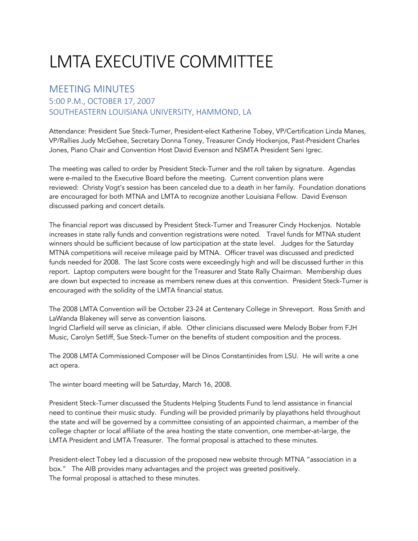## LMTA EXECUTIVE COMMITTEE

## MEETING MINUTES

## 5:00 P.M., OCTOBER 17, 2007 SOUTHEASTERN LOUISIANA UNIVERSITY, HAMMOND, LA

Attendance: President Sue Steck-Turner, President-elect Katherine Tobey, VP/Certification Linda Manes, VP/Rallies Judy McGehee, Secretary Donna Toney, Treasurer Cindy Hockenjos, Past-President Charles Jones, Piano Chair and Convention Host David Evenson and NSMTA President Seni Igrec.

The meeting was called to order by President Steck-Turner and the roll taken by signature. Agendas were e-mailed to the Executive Board before the meeting. Current convention plans were reviewed: Christy Vogt's session has been canceled due to a death in her family. Foundation donations are encouraged for both MTNA and LMTA to recognize another Louisiana Fellow. David Evenson discussed parking and concert details.

The financial report was discussed by President Steck-Turner and Treasurer Cindy Hockenjos. Notable increases in state rally funds and convention registrations were noted. Travel funds for MTNA student winners should be sufficient because of low participation at the state level. Judges for the Saturday MTNA competitions will receive mileage paid by MTNA. Officer travel was discussed and predicted funds needed for 2008. The last Score costs were exceedingly high and will be discussed further in this report. Laptop computers were bought for the Treasurer and State Rally Chairman. Membership dues are down but expected to increase as members renew dues at this convention. President Steck-Turner is encouraged with the solidity of the LMTA financial status.

The 2008 LMTA Convention will be October 23-24 at Centenary College in Shreveport. Ross Smith and LaWanda Blakeney will serve as convention liaisons.

Ingrid Clarfield will serve as clinician, if able. Other clinicians discussed were Melody Bober from FJH Music, Carolyn Setliff, Sue Steck-Turner on the benefits of student composition and the process.

The 2008 LMTA Commissioned Composer will be Dinos Constantinides from LSU. He will write a one act opera.

The winter board meeting will be Saturday, March 16, 2008.

President Steck-Turner discussed the Students Helping Students Fund to lend assistance in financial need to continue their music study. Funding will be provided primarily by playathons held throughout the state and will be governed by a committee consisting of an appointed chairman, a member of the college chapter or local affiliate of the area hosting the state convention, one member-at-large, the LMTA President and LMTA Treasurer. The formal proposal is attached to these minutes.

President-elect Tobey led a discussion of the proposed new website through MTNA "association in a box." The AIB provides many advantages and the project was greeted positively. The formal proposal is attached to these minutes.